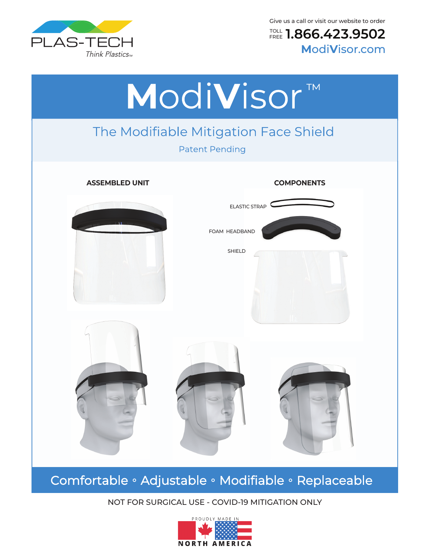

Give us a call or visit our website to order

**1.866.423.9502** TOLL **M**odi**V**isor.com FREE



# Comfortable · Adjustable · Modifiable · Replaceable

#### NOT FOR SURGICAL USE - COVID-19 MITIGATION ONLY